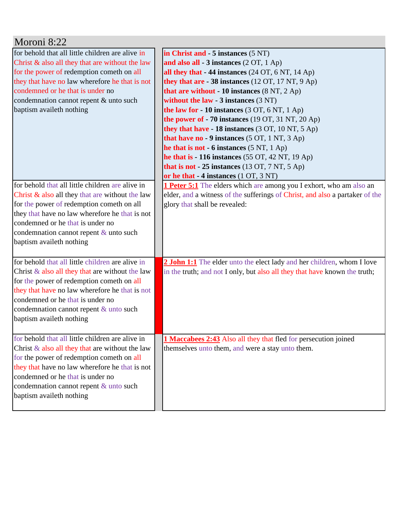| Moroni 8:22                                                                                                                                                                                                                                                                                                        |                                                                                                                                                                                                                                                                                                                                                                                                                                                                                                                                                                                                                                                                                                                             |
|--------------------------------------------------------------------------------------------------------------------------------------------------------------------------------------------------------------------------------------------------------------------------------------------------------------------|-----------------------------------------------------------------------------------------------------------------------------------------------------------------------------------------------------------------------------------------------------------------------------------------------------------------------------------------------------------------------------------------------------------------------------------------------------------------------------------------------------------------------------------------------------------------------------------------------------------------------------------------------------------------------------------------------------------------------------|
| for behold that all little children are alive in<br>Christ $\&$ also all they that are without the law<br>for the power of redemption cometh on all<br>they that have no law wherefore he that is not<br>condemned or he that is under no<br>condemnation cannot repent & unto such<br>baptism availeth nothing    | in Christ and - 5 instances (5 NT)<br>and also all - 3 instances (2 OT, 1 Ap)<br>all they that - 44 instances (24 OT, 6 NT, 14 Ap)<br>they that are $-38$ instances (12 OT, 17 NT, 9 Ap)<br>that are without $-10$ instances $(8 \text{ NT}, 2 \text{ Ap})$<br>without the law $-3$ instances $(3 \text{ NT})$<br>the law for - 10 instances (3 OT, 6 NT, 1 Ap)<br>the power of $-70$ instances (19 OT, 31 NT, 20 Ap)<br>they that have - 18 instances (3 OT, 10 NT, 5 Ap)<br>that have no - 9 instances $(5 OT, 1 NT, 3 Ap)$<br>he that is not - 6 instances (5 NT, 1 Ap)<br>he that is $-116$ instances (55 OT, 42 NT, 19 Ap)<br>that is not $-25$ instances (13 OT, 7 NT, 5 Ap)<br>or he that - 4 instances (1 OT, 3 NT) |
| for behold that all little children are alive in<br>Christ $\&$ also all they that are without the law<br>for the power of redemption cometh on all<br>they that have no law wherefore he that is not<br>condemned or he that is under no<br>condemnation cannot repent $\&$ unto such<br>baptism availeth nothing | <b>1 Peter 5:1</b> The elders which are among you I exhort, who am also an<br>elder, and a witness of the sufferings of Christ, and also a partaker of the<br>glory that shall be revealed:                                                                                                                                                                                                                                                                                                                                                                                                                                                                                                                                 |
| for behold that all little children are alive in<br>Christ $\&$ also all they that are without the law<br>for the power of redemption cometh on all<br>they that have no law wherefore he that is not<br>condemned or he that is under no<br>condemnation cannot repent & unto such<br>baptism availeth nothing    | 2 John 1:1 The elder unto the elect lady and her children, whom I love<br>in the truth; and not I only, but also all they that have known the truth;                                                                                                                                                                                                                                                                                                                                                                                                                                                                                                                                                                        |
| for behold that all little children are alive in<br>Christ $\&$ also all they that are without the law<br>for the power of redemption cometh on all<br>they that have no law wherefore he that is not<br>condemned or he that is under no<br>condemnation cannot repent & unto such<br>baptism availeth nothing    | <b>1 Maccabees 2:43</b> Also all they that fled for persecution joined<br>themselves unto them, and were a stay unto them.                                                                                                                                                                                                                                                                                                                                                                                                                                                                                                                                                                                                  |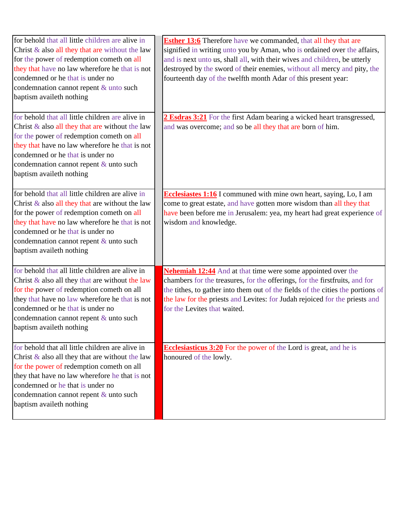| for behold that all little children are alive in<br>Christ $\&$ also all they that are without the law<br>for the power of redemption cometh on all<br>they that have no law wherefore he that is not<br>condemned or he that is under no<br>condemnation cannot repent & unto such<br>baptism availeth nothing    | <b>Esther 13:6</b> Therefore have we commanded, that all they that are<br>signified in writing unto you by Aman, who is ordained over the affairs,<br>and is next unto us, shall all, with their wives and children, be utterly<br>destroyed by the sword of their enemies, without all mercy and pity, the<br>fourteenth day of the twelfth month Adar of this present year: |
|--------------------------------------------------------------------------------------------------------------------------------------------------------------------------------------------------------------------------------------------------------------------------------------------------------------------|-------------------------------------------------------------------------------------------------------------------------------------------------------------------------------------------------------------------------------------------------------------------------------------------------------------------------------------------------------------------------------|
| for behold that all little children are alive in<br>Christ $\&$ also all they that are without the law<br>for the power of redemption cometh on all<br>they that have no law wherefore he that is not<br>condemned or he that is under no<br>condemnation cannot repent & unto such<br>baptism availeth nothing    | 2 Esdras 3:21 For the first Adam bearing a wicked heart transgressed,<br>and was overcome; and so be all they that are born of him.                                                                                                                                                                                                                                           |
| for behold that all little children are alive in<br>Christ $\&$ also all they that are without the law<br>for the power of redemption cometh on all<br>they that have no law wherefore he that is not<br>condemned or he that is under no<br>condemnation cannot repent $\&$ unto such<br>baptism availeth nothing | <b>Ecclesiastes 1:16</b> I communed with mine own heart, saying, Lo, I am<br>come to great estate, and have gotten more wisdom than all they that<br>have been before me in Jerusalem: yea, my heart had great experience of<br>wisdom and knowledge.                                                                                                                         |
| for behold that all little children are alive in<br>Christ $\&$ also all they that are without the law<br>for the power of redemption cometh on all<br>they that have no law wherefore he that is not<br>condemned or he that is under no<br>condemnation cannot repent & unto such<br>baptism availeth nothing    | <b>Nehemiah 12:44</b> And at that time were some appointed over the<br>chambers for the treasures, for the offerings, for the first fruits, and for<br>the tithes, to gather into them out of the fields of the cities the portions of<br>the law for the priests and Levites: for Judah rejoiced for the priests and<br>for the Levites that waited.                         |
| for behold that all little children are alive in<br>Christ $\&$ also all they that are without the law<br>for the power of redemption cometh on all<br>they that have no law wherefore he that is not<br>condemned or he that is under no<br>condemnation cannot repent & unto such<br>baptism availeth nothing    | <b>Ecclesiasticus 3:20</b> For the power of the Lord is great, and he is<br>honoured of the lowly.                                                                                                                                                                                                                                                                            |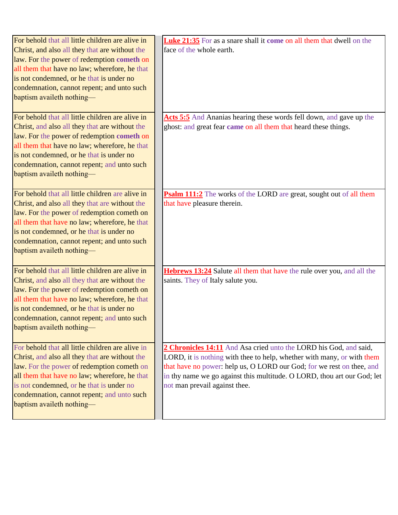| For behold that all little children are alive in<br>Christ, and also all they that are without the | <b>Luke 21:35</b> For as a snare shall it come on all them that dwell on the<br>face of the whole earth. |
|----------------------------------------------------------------------------------------------------|----------------------------------------------------------------------------------------------------------|
| law. For the power of redemption cometh on                                                         |                                                                                                          |
| all them that have no law; wherefore, he that                                                      |                                                                                                          |
| is not condemned, or he that is under no                                                           |                                                                                                          |
| condemnation, cannot repent; and unto such                                                         |                                                                                                          |
| baptism availeth nothing-                                                                          |                                                                                                          |
| For behold that all little children are alive in                                                   | Acts 5:5 And Ananias hearing these words fell down, and gave up the                                      |
| Christ, and also all they that are without the                                                     | ghost: and great fear came on all them that heard these things.                                          |
| law. For the power of redemption cometh on                                                         |                                                                                                          |
| all them that have no law; wherefore, he that                                                      |                                                                                                          |
| is not condemned, or he that is under no                                                           |                                                                                                          |
| condemnation, cannot repent; and unto such                                                         |                                                                                                          |
| baptism availeth nothing-                                                                          |                                                                                                          |
| For behold that all little children are alive in                                                   | Psalm 111:2 The works of the LORD are great, sought out of all them                                      |
| Christ, and also all they that are without the                                                     | that have pleasure therein.                                                                              |
| law. For the power of redemption cometh on                                                         |                                                                                                          |
| all them that have no law; wherefore, he that                                                      |                                                                                                          |
| is not condemned, or he that is under no                                                           |                                                                                                          |
| condemnation, cannot repent; and unto such                                                         |                                                                                                          |
| baptism availeth nothing-                                                                          |                                                                                                          |
| For behold that all little children are alive in                                                   | Hebrews 13:24 Salute all them that have the rule over you, and all the                                   |
| Christ, and also all they that are without the                                                     | saints. They of Italy salute you.                                                                        |
| law. For the power of redemption cometh on                                                         |                                                                                                          |
| all them that have no law; wherefore, he that                                                      |                                                                                                          |
| is not condemned, or he that is under no                                                           |                                                                                                          |
| condemnation, cannot repent; and unto such                                                         |                                                                                                          |
| baptism availeth nothing—                                                                          |                                                                                                          |
| For behold that all little children are alive in                                                   | 2 Chronicles 14:11 And Asa cried unto the LORD his God, and said,                                        |
| Christ, and also all they that are without the                                                     | LORD, it is nothing with thee to help, whether with many, or with them                                   |
| law. For the power of redemption cometh on                                                         | that have no power: help us, O LORD our God; for we rest on thee, and                                    |
| all them that have no law; wherefore, he that                                                      | in thy name we go against this multitude. O LORD, thou art our God; let                                  |
| is not condemned, or he that is under no                                                           | not man prevail against thee.                                                                            |
| condemnation, cannot repent; and unto such                                                         |                                                                                                          |
| baptism availeth nothing—                                                                          |                                                                                                          |
|                                                                                                    |                                                                                                          |